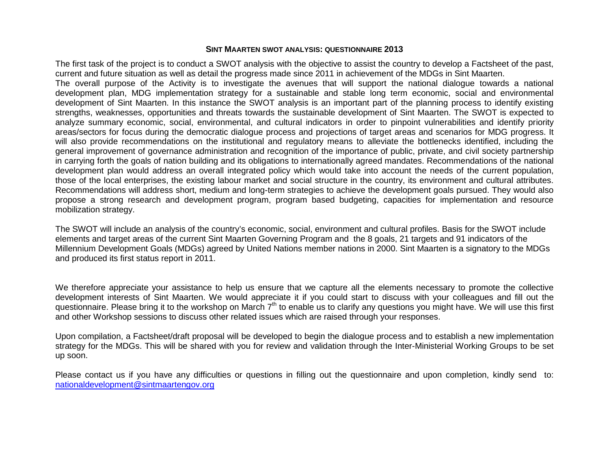# **SINT MAARTEN SWOT ANALYSIS: QUESTIONNAIRE 2013**

The first task of the project is to conduct a SWOT analysis with the objective to assist the country to develop a Factsheet of the past, current and future situation as well as detail the progress made since 2011 in achievement of the MDGs in Sint Maarten.

The overall purpose of the Activity is to investigate the avenues that will support the national dialogue towards a national development plan, MDG implementation strategy for a sustainable and stable long term economic, social and environmental development of Sint Maarten. In this instance the SWOT analysis is an important part of the planning process to identify existing strengths, weaknesses, opportunities and threats towards the sustainable development of Sint Maarten. The SWOT is expected to analyze summary economic, social, environmental, and cultural indicators in order to pinpoint vulnerabilities and identify priority areas/sectors for focus during the democratic dialogue process and projections of target areas and scenarios for MDG progress. It will also provide recommendations on the institutional and regulatory means to alleviate the bottlenecks identified, including the general improvement of governance administration and recognition of the importance of public, private, and civil society partnership in carrying forth the goals of nation building and its obligations to internationally agreed mandates. Recommendations of the national development plan would address an overall integrated policy which would take into account the needs of the current population, those of the local enterprises, the existing labour market and social structure in the country, its environment and cultural attributes. Recommendations will address short, medium and long-term strategies to achieve the development goals pursued. They would also propose a strong research and development program, program based budgeting, capacities for implementation and resource mobilization strategy.

The SWOT will include an analysis of the country's economic, social, environment and cultural profiles. Basis for the SWOT include elements and target areas of the current Sint Maarten Governing Program and the 8 goals, 21 targets and 91 indicators of the Millennium Development Goals (MDGs) agreed by United Nations member nations in 2000. Sint Maarten is a signatory to the MDGs and produced its first status report in 2011.

We therefore appreciate your assistance to help us ensure that we capture all the elements necessary to promote the collective development interests of Sint Maarten. We would appreciate it if you could start to discuss with your colleagues and fill out the questionnaire. Please bring it to the workshop on March  $7<sup>th</sup>$  to enable us to clarify any questions you might have. We will use this first and other Workshop sessions to discuss other related issues which are raised through your responses.

Upon compilation, a Factsheet/draft proposal will be developed to begin the dialogue process and to establish a new implementation strategy for the MDGs. This will be shared with you for review and validation through the Inter-Ministerial Working Groups to be set up soon.

Please contact us if you have any difficulties or questions in filling out the questionnaire and upon completion, kindly send to: [nationaldevelopment@sintmaartengov.org](mailto:nationaldevelopment@sintmaartengov.org)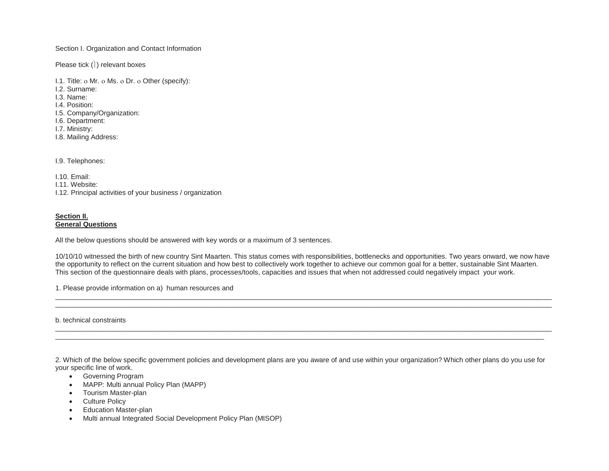Section I. Organization and Contact Information

Please tick  $()$  relevant boxes

I.1. Title: ο Mr. ο Ms. ο Dr. ο Other (specify):

I.2. Surname:

I.3. Name:

- I.4. Position:
- I.5. Company/Organization:
- I.6. Department:
- I.7. Ministry:
- I.8. Mailing Address:

I.9. Telephones:

I.10. Email:

I.11. Website:

I.12. Principal activities of your business / organization

# **Section II.**

**General Questions**

All the below questions should be answered with key words or a maximum of 3 sentences.

10/10/10 witnessed the birth of new country Sint Maarten. This status comes with responsibilities, bottlenecks and opportunities. Two years onward, we now have the opportunity to reflect on the current situation and how best to collectively work together to achieve our common goal for a better, sustainable Sint Maarten. This section of the questionnaire deals with plans, processes/tools, capacities and issues that when not addressed could negatively impact your work.

\_\_\_\_\_\_\_\_\_\_\_\_\_\_\_\_\_\_\_\_\_\_\_\_\_\_\_\_\_\_\_\_\_\_\_\_\_\_\_\_\_\_\_\_\_\_\_\_\_\_\_\_\_\_\_\_\_\_\_\_\_\_\_\_\_\_\_\_\_\_\_\_\_\_\_\_\_\_\_\_\_\_\_\_\_\_\_\_\_\_\_\_\_\_\_\_\_\_\_\_\_\_\_\_\_\_\_\_\_\_\_\_\_\_\_\_\_\_\_\_\_\_\_\_\_\_\_\_\_ \_\_\_\_\_\_\_\_\_\_\_\_\_\_\_\_\_\_\_\_\_\_\_\_\_\_\_\_\_\_\_\_\_\_\_\_\_\_\_\_\_\_\_\_\_\_\_\_\_\_\_\_\_\_\_\_\_\_\_\_\_\_\_\_\_\_\_\_\_\_\_\_\_\_\_\_\_\_\_\_\_\_\_\_\_\_\_\_\_\_\_\_\_\_\_\_\_\_\_\_\_\_\_\_\_\_\_\_\_\_\_\_\_\_\_\_\_\_\_\_\_\_\_\_\_\_\_\_\_

\_\_\_\_\_\_\_\_\_\_\_\_\_\_\_\_\_\_\_\_\_\_\_\_\_\_\_\_\_\_\_\_\_\_\_\_\_\_\_\_\_\_\_\_\_\_\_\_\_\_\_\_\_\_\_\_\_\_\_\_\_\_\_\_\_\_\_\_\_\_\_\_\_\_\_\_\_\_\_\_\_\_\_\_\_\_\_\_\_\_\_\_\_\_\_\_\_\_\_\_\_\_\_\_\_\_\_\_\_\_\_\_\_\_\_\_\_\_\_\_\_\_\_\_\_\_\_\_\_ \_\_\_\_\_\_\_\_\_\_\_\_\_\_\_\_\_\_\_\_\_\_\_\_\_\_\_\_\_\_\_\_\_\_\_\_\_\_\_\_\_\_\_\_\_\_\_\_\_\_\_\_\_\_\_\_\_\_\_\_\_\_\_\_\_\_\_\_\_\_\_\_\_\_\_\_\_\_\_\_\_\_\_\_\_\_\_\_\_\_\_\_\_\_\_\_\_\_\_\_\_\_\_\_\_\_\_\_\_\_\_\_\_\_\_\_\_\_\_\_\_\_\_\_\_\_\_

1. Please provide information on a) human resources and

b. technical constraints

2. Which of the below specific government policies and development plans are you aware of and use within your organization? Which other plans do you use for your specific line of work.

- Governing Program
- MAPP: Multi annual Policy Plan (MAPP)
- Tourism Master-plan
- Culture Policy
- Education Master-plan
- Multi annual Integrated Social Development Policy Plan (MISOP)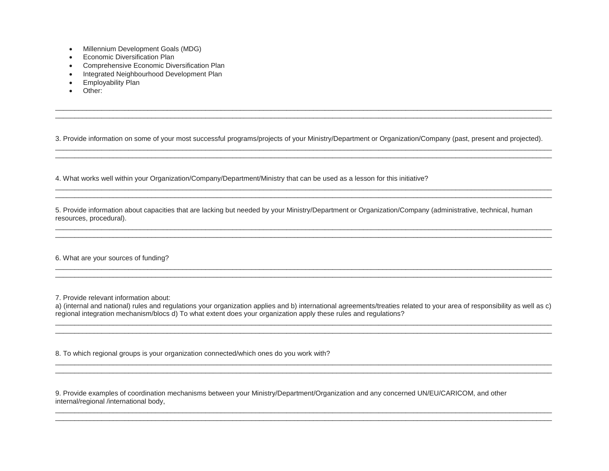- Millennium Development Goals (MDG)
- Economic Diversification Plan
- Comprehensive Economic Diversification Plan
- Integrated Neighbourhood Development Plan
- Employability Plan
- Other:

3. Provide information on some of your most successful programs/projects of your Ministry/Department or Organization/Company (past, present and projected). \_\_\_\_\_\_\_\_\_\_\_\_\_\_\_\_\_\_\_\_\_\_\_\_\_\_\_\_\_\_\_\_\_\_\_\_\_\_\_\_\_\_\_\_\_\_\_\_\_\_\_\_\_\_\_\_\_\_\_\_\_\_\_\_\_\_\_\_\_\_\_\_\_\_\_\_\_\_\_\_\_\_\_\_\_\_\_\_\_\_\_\_\_\_\_\_\_\_\_\_\_\_\_\_\_\_\_\_\_\_\_\_\_\_\_\_\_\_\_\_\_\_\_\_\_\_\_\_\_

\_\_\_\_\_\_\_\_\_\_\_\_\_\_\_\_\_\_\_\_\_\_\_\_\_\_\_\_\_\_\_\_\_\_\_\_\_\_\_\_\_\_\_\_\_\_\_\_\_\_\_\_\_\_\_\_\_\_\_\_\_\_\_\_\_\_\_\_\_\_\_\_\_\_\_\_\_\_\_\_\_\_\_\_\_\_\_\_\_\_\_\_\_\_\_\_\_\_\_\_\_\_\_\_\_\_\_\_\_\_\_\_\_\_\_\_\_\_\_\_\_\_\_\_\_\_\_\_\_

\_\_\_\_\_\_\_\_\_\_\_\_\_\_\_\_\_\_\_\_\_\_\_\_\_\_\_\_\_\_\_\_\_\_\_\_\_\_\_\_\_\_\_\_\_\_\_\_\_\_\_\_\_\_\_\_\_\_\_\_\_\_\_\_\_\_\_\_\_\_\_\_\_\_\_\_\_\_\_\_\_\_\_\_\_\_\_\_\_\_\_\_\_\_\_\_\_\_\_\_\_\_\_\_\_\_\_\_\_\_\_\_\_\_\_\_\_\_\_\_\_\_\_\_\_\_\_\_\_

\_\_\_\_\_\_\_\_\_\_\_\_\_\_\_\_\_\_\_\_\_\_\_\_\_\_\_\_\_\_\_\_\_\_\_\_\_\_\_\_\_\_\_\_\_\_\_\_\_\_\_\_\_\_\_\_\_\_\_\_\_\_\_\_\_\_\_\_\_\_\_\_\_\_\_\_\_\_\_\_\_\_\_\_\_\_\_\_\_\_\_\_\_\_\_\_\_\_\_\_\_\_\_\_\_\_\_\_\_\_\_\_\_\_\_\_\_\_\_\_\_\_\_\_\_\_\_\_\_ \_\_\_\_\_\_\_\_\_\_\_\_\_\_\_\_\_\_\_\_\_\_\_\_\_\_\_\_\_\_\_\_\_\_\_\_\_\_\_\_\_\_\_\_\_\_\_\_\_\_\_\_\_\_\_\_\_\_\_\_\_\_\_\_\_\_\_\_\_\_\_\_\_\_\_\_\_\_\_\_\_\_\_\_\_\_\_\_\_\_\_\_\_\_\_\_\_\_\_\_\_\_\_\_\_\_\_\_\_\_\_\_\_\_\_\_\_\_\_\_\_\_\_\_\_\_\_\_\_

\_\_\_\_\_\_\_\_\_\_\_\_\_\_\_\_\_\_\_\_\_\_\_\_\_\_\_\_\_\_\_\_\_\_\_\_\_\_\_\_\_\_\_\_\_\_\_\_\_\_\_\_\_\_\_\_\_\_\_\_\_\_\_\_\_\_\_\_\_\_\_\_\_\_\_\_\_\_\_\_\_\_\_\_\_\_\_\_\_\_\_\_\_\_\_\_\_\_\_\_\_\_\_\_\_\_\_\_\_\_\_\_\_\_\_\_\_\_\_\_\_\_\_\_\_\_\_\_\_ \_\_\_\_\_\_\_\_\_\_\_\_\_\_\_\_\_\_\_\_\_\_\_\_\_\_\_\_\_\_\_\_\_\_\_\_\_\_\_\_\_\_\_\_\_\_\_\_\_\_\_\_\_\_\_\_\_\_\_\_\_\_\_\_\_\_\_\_\_\_\_\_\_\_\_\_\_\_\_\_\_\_\_\_\_\_\_\_\_\_\_\_\_\_\_\_\_\_\_\_\_\_\_\_\_\_\_\_\_\_\_\_\_\_\_\_\_\_\_\_\_\_\_\_\_\_\_\_\_

4. What works well within your Organization/Company/Department/Ministry that can be used as a lesson for this initiative?

5. Provide information about capacities that are lacking but needed by your Ministry/Department or Organization/Company (administrative, technical, human resources, procedural).

\_\_\_\_\_\_\_\_\_\_\_\_\_\_\_\_\_\_\_\_\_\_\_\_\_\_\_\_\_\_\_\_\_\_\_\_\_\_\_\_\_\_\_\_\_\_\_\_\_\_\_\_\_\_\_\_\_\_\_\_\_\_\_\_\_\_\_\_\_\_\_\_\_\_\_\_\_\_\_\_\_\_\_\_\_\_\_\_\_\_\_\_\_\_\_\_\_\_\_\_\_\_\_\_\_\_\_\_\_\_\_\_\_\_\_\_\_\_\_\_\_\_\_\_\_\_\_\_\_

6. What are your sources of funding?

7. Provide relevant information about:

a) (internal and national) rules and regulations your organization applies and b) international agreements/treaties related to your area of responsibility as well as c) regional integration mechanism/blocs d) To what extent does your organization apply these rules and regulations? \_\_\_\_\_\_\_\_\_\_\_\_\_\_\_\_\_\_\_\_\_\_\_\_\_\_\_\_\_\_\_\_\_\_\_\_\_\_\_\_\_\_\_\_\_\_\_\_\_\_\_\_\_\_\_\_\_\_\_\_\_\_\_\_\_\_\_\_\_\_\_\_\_\_\_\_\_\_\_\_\_\_\_\_\_\_\_\_\_\_\_\_\_\_\_\_\_\_\_\_\_\_\_\_\_\_\_\_\_\_\_\_\_\_\_\_\_\_\_\_\_\_\_\_\_\_\_\_\_

\_\_\_\_\_\_\_\_\_\_\_\_\_\_\_\_\_\_\_\_\_\_\_\_\_\_\_\_\_\_\_\_\_\_\_\_\_\_\_\_\_\_\_\_\_\_\_\_\_\_\_\_\_\_\_\_\_\_\_\_\_\_\_\_\_\_\_\_\_\_\_\_\_\_\_\_\_\_\_\_\_\_\_\_\_\_\_\_\_\_\_\_\_\_\_\_\_\_\_\_\_\_\_\_\_\_\_\_\_\_\_\_\_\_\_\_\_\_\_\_\_\_\_\_\_\_\_\_\_

\_\_\_\_\_\_\_\_\_\_\_\_\_\_\_\_\_\_\_\_\_\_\_\_\_\_\_\_\_\_\_\_\_\_\_\_\_\_\_\_\_\_\_\_\_\_\_\_\_\_\_\_\_\_\_\_\_\_\_\_\_\_\_\_\_\_\_\_\_\_\_\_\_\_\_\_\_\_\_\_\_\_\_\_\_\_\_\_\_\_\_\_\_\_\_\_\_\_\_\_\_\_\_\_\_\_\_\_\_\_\_\_\_\_\_\_\_\_\_\_\_\_\_\_\_\_\_\_\_ \_\_\_\_\_\_\_\_\_\_\_\_\_\_\_\_\_\_\_\_\_\_\_\_\_\_\_\_\_\_\_\_\_\_\_\_\_\_\_\_\_\_\_\_\_\_\_\_\_\_\_\_\_\_\_\_\_\_\_\_\_\_\_\_\_\_\_\_\_\_\_\_\_\_\_\_\_\_\_\_\_\_\_\_\_\_\_\_\_\_\_\_\_\_\_\_\_\_\_\_\_\_\_\_\_\_\_\_\_\_\_\_\_\_\_\_\_\_\_\_\_\_\_\_\_\_\_\_\_

\_\_\_\_\_\_\_\_\_\_\_\_\_\_\_\_\_\_\_\_\_\_\_\_\_\_\_\_\_\_\_\_\_\_\_\_\_\_\_\_\_\_\_\_\_\_\_\_\_\_\_\_\_\_\_\_\_\_\_\_\_\_\_\_\_\_\_\_\_\_\_\_\_\_\_\_\_\_\_\_\_\_\_\_\_\_\_\_\_\_\_\_\_\_\_\_\_\_\_\_\_\_\_\_\_\_\_\_\_\_\_\_\_\_\_\_\_\_\_\_\_\_\_\_\_\_\_\_\_ \_\_\_\_\_\_\_\_\_\_\_\_\_\_\_\_\_\_\_\_\_\_\_\_\_\_\_\_\_\_\_\_\_\_\_\_\_\_\_\_\_\_\_\_\_\_\_\_\_\_\_\_\_\_\_\_\_\_\_\_\_\_\_\_\_\_\_\_\_\_\_\_\_\_\_\_\_\_\_\_\_\_\_\_\_\_\_\_\_\_\_\_\_\_\_\_\_\_\_\_\_\_\_\_\_\_\_\_\_\_\_\_\_\_\_\_\_\_\_\_\_\_\_\_\_\_\_\_\_

\_\_\_\_\_\_\_\_\_\_\_\_\_\_\_\_\_\_\_\_\_\_\_\_\_\_\_\_\_\_\_\_\_\_\_\_\_\_\_\_\_\_\_\_\_\_\_\_\_\_\_\_\_\_\_\_\_\_\_\_\_\_\_\_\_\_\_\_\_\_\_\_\_\_\_\_\_\_\_\_\_\_\_\_\_\_\_\_\_\_\_\_\_\_\_\_\_\_\_\_\_\_\_\_\_\_\_\_\_\_\_\_\_\_\_\_\_\_\_\_\_\_\_\_\_\_\_\_\_

8. To which regional groups is your organization connected/which ones do you work with?

9. Provide examples of coordination mechanisms between your Ministry/Department/Organization and any concerned UN/EU/CARICOM, and other internal/regional /international body,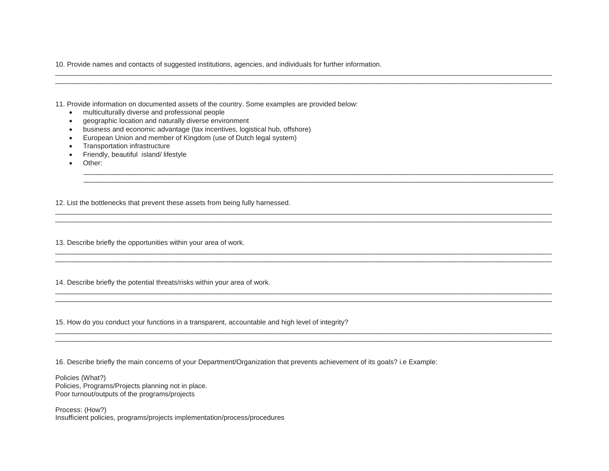10. Provide names and contacts of suggested institutions, agencies, and individuals for further information.

\_\_\_\_\_\_\_\_\_\_\_\_\_\_\_\_\_\_\_\_\_\_\_\_\_\_\_\_\_\_\_\_\_\_\_\_\_\_\_\_\_\_\_\_\_\_\_\_\_\_\_\_\_\_\_\_\_\_\_\_\_\_\_\_\_\_\_\_\_\_\_\_\_\_\_\_\_\_\_\_\_\_\_\_\_\_\_\_\_\_\_\_\_\_\_\_\_\_\_\_\_\_\_\_\_\_\_\_\_\_\_\_\_\_\_\_\_\_\_\_\_\_\_\_\_\_\_\_\_ \_\_\_\_\_\_\_\_\_\_\_\_\_\_\_\_\_\_\_\_\_\_\_\_\_\_\_\_\_\_\_\_\_\_\_\_\_\_\_\_\_\_\_\_\_\_\_\_\_\_\_\_\_\_\_\_\_\_\_\_\_\_\_\_\_\_\_\_\_\_\_\_\_\_\_\_\_\_\_\_\_\_\_\_\_\_\_\_\_\_\_\_\_\_\_\_\_\_\_\_\_\_\_\_\_\_\_\_\_\_\_\_\_\_\_\_\_\_\_\_\_\_\_\_\_\_\_\_\_

\_\_\_\_\_\_\_\_\_\_\_\_\_\_\_\_\_\_\_\_\_\_\_\_\_\_\_\_\_\_\_\_\_\_\_\_\_\_\_\_\_\_\_\_\_\_\_\_\_\_\_\_\_\_\_\_\_\_\_\_\_\_\_\_\_\_\_\_\_\_\_\_\_\_\_\_\_\_\_\_\_\_\_\_\_\_\_\_\_\_\_\_\_\_\_\_\_\_\_\_\_\_\_\_\_\_\_\_\_\_\_\_\_\_\_\_\_\_\_\_\_\_ \_\_\_\_\_\_\_\_\_\_\_\_\_\_\_\_\_\_\_\_\_\_\_\_\_\_\_\_\_\_\_\_\_\_\_\_\_\_\_\_\_\_\_\_\_\_\_\_\_\_\_\_\_\_\_\_\_\_\_\_\_\_\_\_\_\_\_\_\_\_\_\_\_\_\_\_\_\_\_\_\_\_\_\_\_\_\_\_\_\_\_\_\_\_\_\_\_\_\_\_\_\_\_\_\_\_\_\_\_\_\_\_\_\_\_\_\_\_\_\_\_\_

\_\_\_\_\_\_\_\_\_\_\_\_\_\_\_\_\_\_\_\_\_\_\_\_\_\_\_\_\_\_\_\_\_\_\_\_\_\_\_\_\_\_\_\_\_\_\_\_\_\_\_\_\_\_\_\_\_\_\_\_\_\_\_\_\_\_\_\_\_\_\_\_\_\_\_\_\_\_\_\_\_\_\_\_\_\_\_\_\_\_\_\_\_\_\_\_\_\_\_\_\_\_\_\_\_\_\_\_\_\_\_\_\_\_\_\_\_\_\_\_\_\_\_\_\_\_\_\_\_

\_\_\_\_\_\_\_\_\_\_\_\_\_\_\_\_\_\_\_\_\_\_\_\_\_\_\_\_\_\_\_\_\_\_\_\_\_\_\_\_\_\_\_\_\_\_\_\_\_\_\_\_\_\_\_\_\_\_\_\_\_\_\_\_\_\_\_\_\_\_\_\_\_\_\_\_\_\_\_\_\_\_\_\_\_\_\_\_\_\_\_\_\_\_\_\_\_\_\_\_\_\_\_\_\_\_\_\_\_\_\_\_\_\_\_\_\_\_\_\_\_\_\_\_\_\_\_\_\_ \_\_\_\_\_\_\_\_\_\_\_\_\_\_\_\_\_\_\_\_\_\_\_\_\_\_\_\_\_\_\_\_\_\_\_\_\_\_\_\_\_\_\_\_\_\_\_\_\_\_\_\_\_\_\_\_\_\_\_\_\_\_\_\_\_\_\_\_\_\_\_\_\_\_\_\_\_\_\_\_\_\_\_\_\_\_\_\_\_\_\_\_\_\_\_\_\_\_\_\_\_\_\_\_\_\_\_\_\_\_\_\_\_\_\_\_\_\_\_\_\_\_\_\_\_\_\_\_\_

\_\_\_\_\_\_\_\_\_\_\_\_\_\_\_\_\_\_\_\_\_\_\_\_\_\_\_\_\_\_\_\_\_\_\_\_\_\_\_\_\_\_\_\_\_\_\_\_\_\_\_\_\_\_\_\_\_\_\_\_\_\_\_\_\_\_\_\_\_\_\_\_\_\_\_\_\_\_\_\_\_\_\_\_\_\_\_\_\_\_\_\_\_\_\_\_\_\_\_\_\_\_\_\_\_\_\_\_\_\_\_\_\_\_\_\_\_\_\_\_\_\_\_\_\_\_\_\_\_ \_\_\_\_\_\_\_\_\_\_\_\_\_\_\_\_\_\_\_\_\_\_\_\_\_\_\_\_\_\_\_\_\_\_\_\_\_\_\_\_\_\_\_\_\_\_\_\_\_\_\_\_\_\_\_\_\_\_\_\_\_\_\_\_\_\_\_\_\_\_\_\_\_\_\_\_\_\_\_\_\_\_\_\_\_\_\_\_\_\_\_\_\_\_\_\_\_\_\_\_\_\_\_\_\_\_\_\_\_\_\_\_\_\_\_\_\_\_\_\_\_\_\_\_\_\_\_\_\_

\_\_\_\_\_\_\_\_\_\_\_\_\_\_\_\_\_\_\_\_\_\_\_\_\_\_\_\_\_\_\_\_\_\_\_\_\_\_\_\_\_\_\_\_\_\_\_\_\_\_\_\_\_\_\_\_\_\_\_\_\_\_\_\_\_\_\_\_\_\_\_\_\_\_\_\_\_\_\_\_\_\_\_\_\_\_\_\_\_\_\_\_\_\_\_\_\_\_\_\_\_\_\_\_\_\_\_\_\_\_\_\_\_\_\_\_\_\_\_\_\_\_\_\_\_\_\_\_\_

11. Provide information on documented assets of the country. Some examples are provided below:

- multiculturally diverse and professional people
- geographic location and naturally diverse environment
- business and economic advantage (tax incentives, logistical hub, offshore)
- European Union and member of Kingdom (use of Dutch legal system)
- Transportation infrastructure
- Friendly, beautiful island/ lifestyle
- Other:

12. List the bottlenecks that prevent these assets from being fully harnessed.

13. Describe briefly the opportunities within your area of work.

14. Describe briefly the potential threats/risks within your area of work.

15. How do you conduct your functions in a transparent, accountable and high level of integrity?

16. Describe briefly the main concerns of your Department/Organization that prevents achievement of its goals? i.e Example:

\_\_\_\_\_\_\_\_\_\_\_\_\_\_\_\_\_\_\_\_\_\_\_\_\_\_\_\_\_\_\_\_\_\_\_\_\_\_\_\_\_\_\_\_\_\_\_\_\_\_\_\_\_\_\_\_\_\_\_\_\_\_\_\_\_\_\_\_\_\_\_\_\_\_\_\_\_\_\_\_\_\_\_\_\_\_\_\_\_\_\_\_\_\_\_\_\_\_\_\_\_\_\_\_\_\_\_\_\_\_\_\_\_\_\_\_\_\_\_\_\_\_\_\_\_\_\_\_\_

Policies (What?) Policies, Programs/Projects planning not in place. Poor turnout/outputs of the programs/projects

Process: (How?) Insufficient policies, programs/projects implementation/process/procedures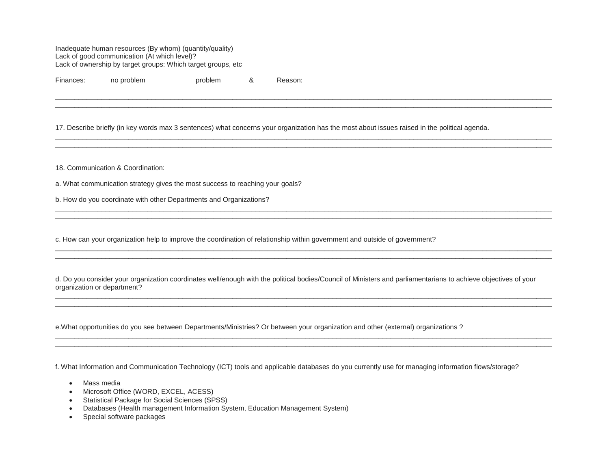Inadequate human resources (By whom) (quantity/quality) Lack of good communication (At which level)? Lack of ownership by target groups: Which target groups, etc

Finances: no problem problem 8 Reason:

17. Describe briefly (in key words max 3 sentences) what concerns your organization has the most about issues raised in the political agenda.

\_\_\_\_\_\_\_\_\_\_\_\_\_\_\_\_\_\_\_\_\_\_\_\_\_\_\_\_\_\_\_\_\_\_\_\_\_\_\_\_\_\_\_\_\_\_\_\_\_\_\_\_\_\_\_\_\_\_\_\_\_\_\_\_\_\_\_\_\_\_\_\_\_\_\_\_\_\_\_\_\_\_\_\_\_\_\_\_\_\_\_\_\_\_\_\_\_\_\_\_\_\_\_\_\_\_\_\_\_\_\_\_\_\_\_\_\_\_\_\_\_\_\_\_\_\_\_\_\_ \_\_\_\_\_\_\_\_\_\_\_\_\_\_\_\_\_\_\_\_\_\_\_\_\_\_\_\_\_\_\_\_\_\_\_\_\_\_\_\_\_\_\_\_\_\_\_\_\_\_\_\_\_\_\_\_\_\_\_\_\_\_\_\_\_\_\_\_\_\_\_\_\_\_\_\_\_\_\_\_\_\_\_\_\_\_\_\_\_\_\_\_\_\_\_\_\_\_\_\_\_\_\_\_\_\_\_\_\_\_\_\_\_\_\_\_\_\_\_\_\_\_\_\_\_\_\_\_\_

\_\_\_\_\_\_\_\_\_\_\_\_\_\_\_\_\_\_\_\_\_\_\_\_\_\_\_\_\_\_\_\_\_\_\_\_\_\_\_\_\_\_\_\_\_\_\_\_\_\_\_\_\_\_\_\_\_\_\_\_\_\_\_\_\_\_\_\_\_\_\_\_\_\_\_\_\_\_\_\_\_\_\_\_\_\_\_\_\_\_\_\_\_\_\_\_\_\_\_\_\_\_\_\_\_\_\_\_\_\_\_\_\_\_\_\_\_\_\_\_\_\_\_\_\_\_\_\_\_ \_\_\_\_\_\_\_\_\_\_\_\_\_\_\_\_\_\_\_\_\_\_\_\_\_\_\_\_\_\_\_\_\_\_\_\_\_\_\_\_\_\_\_\_\_\_\_\_\_\_\_\_\_\_\_\_\_\_\_\_\_\_\_\_\_\_\_\_\_\_\_\_\_\_\_\_\_\_\_\_\_\_\_\_\_\_\_\_\_\_\_\_\_\_\_\_\_\_\_\_\_\_\_\_\_\_\_\_\_\_\_\_\_\_\_\_\_\_\_\_\_\_\_\_\_\_\_\_\_

\_\_\_\_\_\_\_\_\_\_\_\_\_\_\_\_\_\_\_\_\_\_\_\_\_\_\_\_\_\_\_\_\_\_\_\_\_\_\_\_\_\_\_\_\_\_\_\_\_\_\_\_\_\_\_\_\_\_\_\_\_\_\_\_\_\_\_\_\_\_\_\_\_\_\_\_\_\_\_\_\_\_\_\_\_\_\_\_\_\_\_\_\_\_\_\_\_\_\_\_\_\_\_\_\_\_\_\_\_\_\_\_\_\_\_\_\_\_\_\_\_\_\_\_\_\_\_\_\_ \_\_\_\_\_\_\_\_\_\_\_\_\_\_\_\_\_\_\_\_\_\_\_\_\_\_\_\_\_\_\_\_\_\_\_\_\_\_\_\_\_\_\_\_\_\_\_\_\_\_\_\_\_\_\_\_\_\_\_\_\_\_\_\_\_\_\_\_\_\_\_\_\_\_\_\_\_\_\_\_\_\_\_\_\_\_\_\_\_\_\_\_\_\_\_\_\_\_\_\_\_\_\_\_\_\_\_\_\_\_\_\_\_\_\_\_\_\_\_\_\_\_\_\_\_\_\_\_\_

\_\_\_\_\_\_\_\_\_\_\_\_\_\_\_\_\_\_\_\_\_\_\_\_\_\_\_\_\_\_\_\_\_\_\_\_\_\_\_\_\_\_\_\_\_\_\_\_\_\_\_\_\_\_\_\_\_\_\_\_\_\_\_\_\_\_\_\_\_\_\_\_\_\_\_\_\_\_\_\_\_\_\_\_\_\_\_\_\_\_\_\_\_\_\_\_\_\_\_\_\_\_\_\_\_\_\_\_\_\_\_\_\_\_\_\_\_\_\_\_\_\_\_\_\_\_\_\_\_ \_\_\_\_\_\_\_\_\_\_\_\_\_\_\_\_\_\_\_\_\_\_\_\_\_\_\_\_\_\_\_\_\_\_\_\_\_\_\_\_\_\_\_\_\_\_\_\_\_\_\_\_\_\_\_\_\_\_\_\_\_\_\_\_\_\_\_\_\_\_\_\_\_\_\_\_\_\_\_\_\_\_\_\_\_\_\_\_\_\_\_\_\_\_\_\_\_\_\_\_\_\_\_\_\_\_\_\_\_\_\_\_\_\_\_\_\_\_\_\_\_\_\_\_\_\_\_\_\_

\_\_\_\_\_\_\_\_\_\_\_\_\_\_\_\_\_\_\_\_\_\_\_\_\_\_\_\_\_\_\_\_\_\_\_\_\_\_\_\_\_\_\_\_\_\_\_\_\_\_\_\_\_\_\_\_\_\_\_\_\_\_\_\_\_\_\_\_\_\_\_\_\_\_\_\_\_\_\_\_\_\_\_\_\_\_\_\_\_\_\_\_\_\_\_\_\_\_\_\_\_\_\_\_\_\_\_\_\_\_\_\_\_\_\_\_\_\_\_\_\_\_\_\_\_\_\_\_\_ \_\_\_\_\_\_\_\_\_\_\_\_\_\_\_\_\_\_\_\_\_\_\_\_\_\_\_\_\_\_\_\_\_\_\_\_\_\_\_\_\_\_\_\_\_\_\_\_\_\_\_\_\_\_\_\_\_\_\_\_\_\_\_\_\_\_\_\_\_\_\_\_\_\_\_\_\_\_\_\_\_\_\_\_\_\_\_\_\_\_\_\_\_\_\_\_\_\_\_\_\_\_\_\_\_\_\_\_\_\_\_\_\_\_\_\_\_\_\_\_\_\_\_\_\_\_\_\_\_

\_\_\_\_\_\_\_\_\_\_\_\_\_\_\_\_\_\_\_\_\_\_\_\_\_\_\_\_\_\_\_\_\_\_\_\_\_\_\_\_\_\_\_\_\_\_\_\_\_\_\_\_\_\_\_\_\_\_\_\_\_\_\_\_\_\_\_\_\_\_\_\_\_\_\_\_\_\_\_\_\_\_\_\_\_\_\_\_\_\_\_\_\_\_\_\_\_\_\_\_\_\_\_\_\_\_\_\_\_\_\_\_\_\_\_\_\_\_\_\_\_\_\_\_\_\_\_\_\_ \_\_\_\_\_\_\_\_\_\_\_\_\_\_\_\_\_\_\_\_\_\_\_\_\_\_\_\_\_\_\_\_\_\_\_\_\_\_\_\_\_\_\_\_\_\_\_\_\_\_\_\_\_\_\_\_\_\_\_\_\_\_\_\_\_\_\_\_\_\_\_\_\_\_\_\_\_\_\_\_\_\_\_\_\_\_\_\_\_\_\_\_\_\_\_\_\_\_\_\_\_\_\_\_\_\_\_\_\_\_\_\_\_\_\_\_\_\_\_\_\_\_\_\_\_\_\_\_\_

18. Communication & Coordination:

a. What communication strategy gives the most success to reaching your goals?

b. How do you coordinate with other Departments and Organizations?

c. How can your organization help to improve the coordination of relationship within government and outside of government?

d. Do you consider your organization coordinates well/enough with the political bodies/Council of Ministers and parliamentarians to achieve objectives of your organization or department?

e.What opportunities do you see between Departments/Ministries? Or between your organization and other (external) organizations ?

f. What Information and Communication Technology (ICT) tools and applicable databases do you currently use for managing information flows/storage?

- Mass media
- Microsoft Office (WORD, EXCEL, ACESS)
- Statistical Package for Social Sciences (SPSS)
- Databases (Health management Information System, Education Management System)
- Special software packages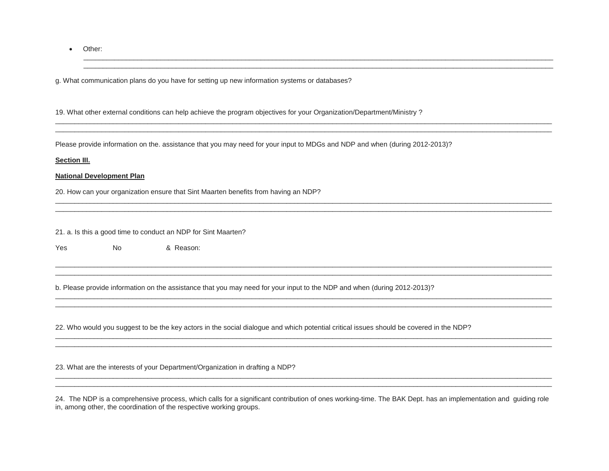• Other:

g. What communication plans do you have for setting up new information systems or databases?

19. What other external conditions can help achieve the program objectives for your Organization/Department/Ministry ?

Please provide information on the. assistance that you may need for your input to MDGs and NDP and when (during 2012-2013)?

\_\_\_\_\_\_\_\_\_\_\_\_\_\_\_\_\_\_\_\_\_\_\_\_\_\_\_\_\_\_\_\_\_\_\_\_\_\_\_\_\_\_\_\_\_\_\_\_\_\_\_\_\_\_\_\_\_\_\_\_\_\_\_\_\_\_\_\_\_\_\_\_\_\_\_\_\_\_\_\_\_\_\_\_\_\_\_\_\_\_\_\_\_\_\_\_\_\_\_\_\_\_\_\_\_\_\_\_\_\_\_\_\_\_\_\_\_\_\_\_\_\_ \_\_\_\_\_\_\_\_\_\_\_\_\_\_\_\_\_\_\_\_\_\_\_\_\_\_\_\_\_\_\_\_\_\_\_\_\_\_\_\_\_\_\_\_\_\_\_\_\_\_\_\_\_\_\_\_\_\_\_\_\_\_\_\_\_\_\_\_\_\_\_\_\_\_\_\_\_\_\_\_\_\_\_\_\_\_\_\_\_\_\_\_\_\_\_\_\_\_\_\_\_\_\_\_\_\_\_\_\_\_\_\_\_\_\_\_\_\_\_\_\_\_

\_\_\_\_\_\_\_\_\_\_\_\_\_\_\_\_\_\_\_\_\_\_\_\_\_\_\_\_\_\_\_\_\_\_\_\_\_\_\_\_\_\_\_\_\_\_\_\_\_\_\_\_\_\_\_\_\_\_\_\_\_\_\_\_\_\_\_\_\_\_\_\_\_\_\_\_\_\_\_\_\_\_\_\_\_\_\_\_\_\_\_\_\_\_\_\_\_\_\_\_\_\_\_\_\_\_\_\_\_\_\_\_\_\_\_\_\_\_\_\_\_\_\_\_\_\_\_\_\_ \_\_\_\_\_\_\_\_\_\_\_\_\_\_\_\_\_\_\_\_\_\_\_\_\_\_\_\_\_\_\_\_\_\_\_\_\_\_\_\_\_\_\_\_\_\_\_\_\_\_\_\_\_\_\_\_\_\_\_\_\_\_\_\_\_\_\_\_\_\_\_\_\_\_\_\_\_\_\_\_\_\_\_\_\_\_\_\_\_\_\_\_\_\_\_\_\_\_\_\_\_\_\_\_\_\_\_\_\_\_\_\_\_\_\_\_\_\_\_\_\_\_\_\_\_\_\_\_\_

\_\_\_\_\_\_\_\_\_\_\_\_\_\_\_\_\_\_\_\_\_\_\_\_\_\_\_\_\_\_\_\_\_\_\_\_\_\_\_\_\_\_\_\_\_\_\_\_\_\_\_\_\_\_\_\_\_\_\_\_\_\_\_\_\_\_\_\_\_\_\_\_\_\_\_\_\_\_\_\_\_\_\_\_\_\_\_\_\_\_\_\_\_\_\_\_\_\_\_\_\_\_\_\_\_\_\_\_\_\_\_\_\_\_\_\_\_\_\_\_\_\_\_\_\_\_\_\_\_ \_\_\_\_\_\_\_\_\_\_\_\_\_\_\_\_\_\_\_\_\_\_\_\_\_\_\_\_\_\_\_\_\_\_\_\_\_\_\_\_\_\_\_\_\_\_\_\_\_\_\_\_\_\_\_\_\_\_\_\_\_\_\_\_\_\_\_\_\_\_\_\_\_\_\_\_\_\_\_\_\_\_\_\_\_\_\_\_\_\_\_\_\_\_\_\_\_\_\_\_\_\_\_\_\_\_\_\_\_\_\_\_\_\_\_\_\_\_\_\_\_\_\_\_\_\_\_\_\_

\_\_\_\_\_\_\_\_\_\_\_\_\_\_\_\_\_\_\_\_\_\_\_\_\_\_\_\_\_\_\_\_\_\_\_\_\_\_\_\_\_\_\_\_\_\_\_\_\_\_\_\_\_\_\_\_\_\_\_\_\_\_\_\_\_\_\_\_\_\_\_\_\_\_\_\_\_\_\_\_\_\_\_\_\_\_\_\_\_\_\_\_\_\_\_\_\_\_\_\_\_\_\_\_\_\_\_\_\_\_\_\_\_\_\_\_\_\_\_\_\_\_\_\_\_\_\_\_\_ \_\_\_\_\_\_\_\_\_\_\_\_\_\_\_\_\_\_\_\_\_\_\_\_\_\_\_\_\_\_\_\_\_\_\_\_\_\_\_\_\_\_\_\_\_\_\_\_\_\_\_\_\_\_\_\_\_\_\_\_\_\_\_\_\_\_\_\_\_\_\_\_\_\_\_\_\_\_\_\_\_\_\_\_\_\_\_\_\_\_\_\_\_\_\_\_\_\_\_\_\_\_\_\_\_\_\_\_\_\_\_\_\_\_\_\_\_\_\_\_\_\_\_\_\_\_\_\_\_

\_\_\_\_\_\_\_\_\_\_\_\_\_\_\_\_\_\_\_\_\_\_\_\_\_\_\_\_\_\_\_\_\_\_\_\_\_\_\_\_\_\_\_\_\_\_\_\_\_\_\_\_\_\_\_\_\_\_\_\_\_\_\_\_\_\_\_\_\_\_\_\_\_\_\_\_\_\_\_\_\_\_\_\_\_\_\_\_\_\_\_\_\_\_\_\_\_\_\_\_\_\_\_\_\_\_\_\_\_\_\_\_\_\_\_\_\_\_\_\_\_\_\_\_\_\_\_\_\_ \_\_\_\_\_\_\_\_\_\_\_\_\_\_\_\_\_\_\_\_\_\_\_\_\_\_\_\_\_\_\_\_\_\_\_\_\_\_\_\_\_\_\_\_\_\_\_\_\_\_\_\_\_\_\_\_\_\_\_\_\_\_\_\_\_\_\_\_\_\_\_\_\_\_\_\_\_\_\_\_\_\_\_\_\_\_\_\_\_\_\_\_\_\_\_\_\_\_\_\_\_\_\_\_\_\_\_\_\_\_\_\_\_\_\_\_\_\_\_\_\_\_\_\_\_\_\_\_\_

\_\_\_\_\_\_\_\_\_\_\_\_\_\_\_\_\_\_\_\_\_\_\_\_\_\_\_\_\_\_\_\_\_\_\_\_\_\_\_\_\_\_\_\_\_\_\_\_\_\_\_\_\_\_\_\_\_\_\_\_\_\_\_\_\_\_\_\_\_\_\_\_\_\_\_\_\_\_\_\_\_\_\_\_\_\_\_\_\_\_\_\_\_\_\_\_\_\_\_\_\_\_\_\_\_\_\_\_\_\_\_\_\_\_\_\_\_\_\_\_\_\_\_\_\_\_\_\_\_ \_\_\_\_\_\_\_\_\_\_\_\_\_\_\_\_\_\_\_\_\_\_\_\_\_\_\_\_\_\_\_\_\_\_\_\_\_\_\_\_\_\_\_\_\_\_\_\_\_\_\_\_\_\_\_\_\_\_\_\_\_\_\_\_\_\_\_\_\_\_\_\_\_\_\_\_\_\_\_\_\_\_\_\_\_\_\_\_\_\_\_\_\_\_\_\_\_\_\_\_\_\_\_\_\_\_\_\_\_\_\_\_\_\_\_\_\_\_\_\_\_\_\_\_\_\_\_\_\_

#### **Section III.**

#### **National Development Plan**

20. How can your organization ensure that Sint Maarten benefits from having an NDP?

21. a. Is this a good time to conduct an NDP for Sint Maarten?

Yes No & Reason:

b. Please provide information on the assistance that you may need for your input to the NDP and when (during 2012-2013)?

\_\_\_\_\_\_\_\_\_\_\_\_\_\_\_\_\_\_\_\_\_\_\_\_\_\_\_\_\_\_\_\_\_\_\_\_\_\_\_\_\_\_\_\_\_\_\_\_\_\_\_\_\_\_\_\_\_\_\_\_\_\_\_\_\_\_\_\_\_\_\_\_\_\_\_\_\_\_\_\_\_\_\_\_\_\_\_\_\_\_\_\_\_\_\_\_\_\_\_\_\_\_\_\_\_\_\_\_\_\_\_\_\_\_\_\_\_\_\_\_\_\_\_\_\_\_\_\_\_

22. Who would you suggest to be the key actors in the social dialogue and which potential critical issues should be covered in the NDP?

23. What are the interests of your Department/Organization in drafting a NDP?

24. The NDP is a comprehensive process, which calls for a significant contribution of ones working-time. The BAK Dept. has an implementation and guiding role in, among other, the coordination of the respective working groups.

\_\_\_\_\_\_\_\_\_\_\_\_\_\_\_\_\_\_\_\_\_\_\_\_\_\_\_\_\_\_\_\_\_\_\_\_\_\_\_\_\_\_\_\_\_\_\_\_\_\_\_\_\_\_\_\_\_\_\_\_\_\_\_\_\_\_\_\_\_\_\_\_\_\_\_\_\_\_\_\_\_\_\_\_\_\_\_\_\_\_\_\_\_\_\_\_\_\_\_\_\_\_\_\_\_\_\_\_\_\_\_\_\_\_\_\_\_\_\_\_\_\_\_\_\_\_\_\_\_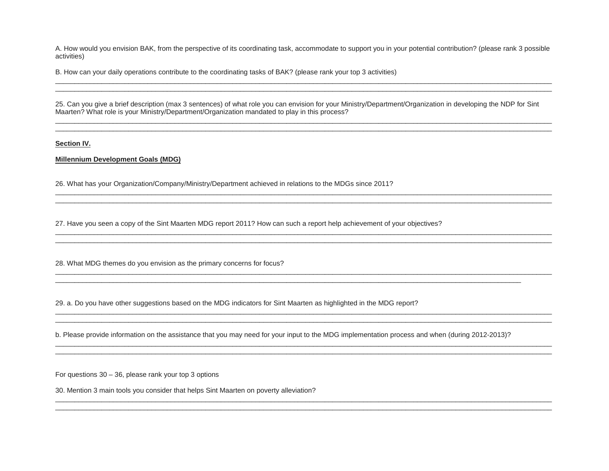A. How would you envision BAK, from the perspective of its coordinating task, accommodate to support you in your potential contribution? (please rank 3 possible activities)

\_\_\_\_\_\_\_\_\_\_\_\_\_\_\_\_\_\_\_\_\_\_\_\_\_\_\_\_\_\_\_\_\_\_\_\_\_\_\_\_\_\_\_\_\_\_\_\_\_\_\_\_\_\_\_\_\_\_\_\_\_\_\_\_\_\_\_\_\_\_\_\_\_\_\_\_\_\_\_\_\_\_\_\_\_\_\_\_\_\_\_\_\_\_\_\_\_\_\_\_\_\_\_\_\_\_\_\_\_\_\_\_\_\_\_\_\_\_\_\_\_\_\_\_\_\_\_\_\_ \_\_\_\_\_\_\_\_\_\_\_\_\_\_\_\_\_\_\_\_\_\_\_\_\_\_\_\_\_\_\_\_\_\_\_\_\_\_\_\_\_\_\_\_\_\_\_\_\_\_\_\_\_\_\_\_\_\_\_\_\_\_\_\_\_\_\_\_\_\_\_\_\_\_\_\_\_\_\_\_\_\_\_\_\_\_\_\_\_\_\_\_\_\_\_\_\_\_\_\_\_\_\_\_\_\_\_\_\_\_\_\_\_\_\_\_\_\_\_\_\_\_\_\_\_\_\_\_\_

B. How can your daily operations contribute to the coordinating tasks of BAK? (please rank your top 3 activities)

25. Can you give a brief description (max 3 sentences) of what role you can envision for your Ministry/Department/Organization in developing the NDP for Sint Maarten? What role is your Ministry/Department/Organization mandated to play in this process?

\_\_\_\_\_\_\_\_\_\_\_\_\_\_\_\_\_\_\_\_\_\_\_\_\_\_\_\_\_\_\_\_\_\_\_\_\_\_\_\_\_\_\_\_\_\_\_\_\_\_\_\_\_\_\_\_\_\_\_\_\_\_\_\_\_\_\_\_\_\_\_\_\_\_\_\_\_\_\_\_\_\_\_\_\_\_\_\_\_\_\_\_\_\_\_\_\_\_\_\_\_\_\_\_\_\_\_\_\_\_\_\_\_\_\_\_\_\_\_\_\_\_\_\_\_\_\_\_\_ \_\_\_\_\_\_\_\_\_\_\_\_\_\_\_\_\_\_\_\_\_\_\_\_\_\_\_\_\_\_\_\_\_\_\_\_\_\_\_\_\_\_\_\_\_\_\_\_\_\_\_\_\_\_\_\_\_\_\_\_\_\_\_\_\_\_\_\_\_\_\_\_\_\_\_\_\_\_\_\_\_\_\_\_\_\_\_\_\_\_\_\_\_\_\_\_\_\_\_\_\_\_\_\_\_\_\_\_\_\_\_\_\_\_\_\_\_\_\_\_\_\_\_\_\_\_\_\_\_

\_\_\_\_\_\_\_\_\_\_\_\_\_\_\_\_\_\_\_\_\_\_\_\_\_\_\_\_\_\_\_\_\_\_\_\_\_\_\_\_\_\_\_\_\_\_\_\_\_\_\_\_\_\_\_\_\_\_\_\_\_\_\_\_\_\_\_\_\_\_\_\_\_\_\_\_\_\_\_\_\_\_\_\_\_\_\_\_\_\_\_\_\_\_\_\_\_\_\_\_\_\_\_\_\_\_\_\_\_\_\_\_\_\_\_\_\_\_\_\_\_\_\_\_\_\_\_\_\_

\_\_\_\_\_\_\_\_\_\_\_\_\_\_\_\_\_\_\_\_\_\_\_\_\_\_\_\_\_\_\_\_\_\_\_\_\_\_\_\_\_\_\_\_\_\_\_\_\_\_\_\_\_\_\_\_\_\_\_\_\_\_\_\_\_\_\_\_\_\_\_\_\_\_\_\_\_\_\_\_\_\_\_\_\_\_\_\_\_\_\_\_\_\_\_\_\_\_\_\_\_\_\_\_\_\_\_\_\_\_\_\_\_\_\_\_\_\_\_\_\_\_\_\_\_\_\_\_\_ \_\_\_\_\_\_\_\_\_\_\_\_\_\_\_\_\_\_\_\_\_\_\_\_\_\_\_\_\_\_\_\_\_\_\_\_\_\_\_\_\_\_\_\_\_\_\_\_\_\_\_\_\_\_\_\_\_\_\_\_\_\_\_\_\_\_\_\_\_\_\_\_\_\_\_\_\_\_\_\_\_\_\_\_\_\_\_\_\_\_\_\_\_\_\_\_\_\_\_\_\_\_\_\_\_\_\_\_\_\_\_\_\_\_\_\_\_\_\_\_\_\_\_\_\_\_\_\_\_

\_\_\_\_\_\_\_\_\_\_\_\_\_\_\_\_\_\_\_\_\_\_\_\_\_\_\_\_\_\_\_\_\_\_\_\_\_\_\_\_\_\_\_\_\_\_\_\_\_\_\_\_\_\_\_\_\_\_\_\_\_\_\_\_\_\_\_\_\_\_\_\_\_\_\_\_\_\_\_\_\_\_\_\_\_\_\_\_\_\_\_\_\_\_\_\_\_\_\_\_\_\_\_\_\_\_\_\_\_\_\_\_\_\_\_\_\_\_\_\_\_\_\_\_\_\_\_\_\_

\_\_\_\_\_\_\_\_\_\_\_\_\_\_\_\_\_\_\_\_\_\_\_\_\_\_\_\_\_\_\_\_\_\_\_\_\_\_\_\_\_\_\_\_\_\_\_\_\_\_\_\_\_\_\_\_\_\_\_\_\_\_\_\_\_\_\_\_\_\_\_\_\_\_\_\_\_\_\_\_\_\_\_\_\_\_\_\_\_\_\_\_\_\_\_\_\_\_\_\_\_\_\_\_\_\_\_\_\_\_\_\_\_\_\_\_\_\_\_\_\_\_\_\_\_\_\_\_\_ \_\_\_\_\_\_\_\_\_\_\_\_\_\_\_\_\_\_\_\_\_\_\_\_\_\_\_\_\_\_\_\_\_\_\_\_\_\_\_\_\_\_\_\_\_\_\_\_\_\_\_\_\_\_\_\_\_\_\_\_\_\_\_\_\_\_\_\_\_\_\_\_\_\_\_\_\_\_\_\_\_\_\_\_\_\_\_\_\_\_\_\_\_\_\_\_\_\_\_\_\_\_\_\_\_\_\_\_\_\_\_\_\_\_\_\_\_\_\_\_\_\_\_\_\_\_\_\_\_

\_\_\_\_\_\_\_\_\_\_\_\_\_\_\_\_\_\_\_\_\_\_\_\_\_\_\_\_\_\_\_\_\_\_\_\_\_\_\_\_\_\_\_\_\_\_\_\_\_\_\_\_\_\_\_\_\_\_\_\_\_\_\_\_\_\_\_\_\_\_\_\_\_\_\_\_\_\_\_\_\_\_\_\_\_\_\_\_\_\_\_\_\_\_\_\_\_\_\_\_\_\_\_\_\_\_\_\_\_\_\_\_\_\_\_\_\_\_\_\_\_\_\_\_\_\_\_\_\_ \_\_\_\_\_\_\_\_\_\_\_\_\_\_\_\_\_\_\_\_\_\_\_\_\_\_\_\_\_\_\_\_\_\_\_\_\_\_\_\_\_\_\_\_\_\_\_\_\_\_\_\_\_\_\_\_\_\_\_\_\_\_\_\_\_\_\_\_\_\_\_\_\_\_\_\_\_\_\_\_\_\_\_\_\_\_\_\_\_\_\_\_\_\_\_\_\_\_\_\_\_\_\_\_\_\_\_\_\_\_\_\_\_\_\_\_\_\_\_\_\_\_\_\_\_\_\_\_\_

\_\_\_\_\_\_\_\_\_\_\_\_\_\_\_\_\_\_\_\_\_\_\_\_\_\_\_\_\_\_\_\_\_\_\_\_\_\_\_\_\_\_\_\_\_\_\_\_\_\_\_\_\_\_\_\_\_\_\_\_\_\_\_\_\_\_\_\_\_\_\_\_\_\_\_\_\_\_\_\_\_\_\_\_\_\_\_\_\_\_\_\_\_\_\_\_\_\_\_\_\_\_\_\_\_\_\_\_\_\_\_\_\_\_\_\_\_\_\_\_\_\_\_\_\_\_\_\_\_ \_\_\_\_\_\_\_\_\_\_\_\_\_\_\_\_\_\_\_\_\_\_\_\_\_\_\_\_\_\_\_\_\_\_\_\_\_\_\_\_\_\_\_\_\_\_\_\_\_\_\_\_\_\_\_\_\_\_\_\_\_\_\_\_\_\_\_\_\_\_\_\_\_\_\_\_\_\_\_\_\_\_\_\_\_\_\_\_\_\_\_\_\_\_\_\_\_\_\_\_\_\_\_\_\_\_\_\_\_\_\_\_\_\_\_\_\_\_\_\_\_\_\_\_\_\_\_\_\_

**Section IV.**

### **Millennium Development Goals (MDG)**

26. What has your Organization/Company/Ministry/Department achieved in relations to the MDGs since 2011?

27. Have you seen a copy of the Sint Maarten MDG report 2011? How can such a report help achievement of your objectives?

\_\_\_\_\_\_\_\_\_\_\_\_\_\_\_\_\_\_\_\_\_\_\_\_\_\_\_\_\_\_\_\_\_\_\_\_\_\_\_\_\_\_\_\_\_\_\_\_\_\_\_\_\_\_\_\_\_\_\_\_\_\_\_\_\_\_\_\_\_\_\_\_\_\_\_\_\_\_\_\_\_\_\_\_\_\_\_\_\_\_\_\_\_\_\_\_\_\_\_\_\_\_\_\_\_\_\_\_\_\_\_\_\_\_\_\_\_\_\_\_\_\_\_\_\_\_\_\_\_

28. What MDG themes do you envision as the primary concerns for focus?

29. a. Do you have other suggestions based on the MDG indicators for Sint Maarten as highlighted in the MDG report?

b. Please provide information on the assistance that you may need for your input to the MDG implementation process and when (during 2012-2013)?

\_\_\_\_\_\_\_\_\_\_\_\_\_\_\_\_\_\_\_\_\_\_\_\_\_\_\_\_\_\_\_\_\_\_\_\_\_\_\_\_\_\_\_\_\_\_\_\_\_\_\_\_\_\_\_\_\_\_\_\_\_\_\_\_\_\_\_\_\_\_\_\_\_\_\_\_\_\_\_\_\_\_\_\_\_\_\_\_\_\_\_\_\_\_\_\_\_\_\_\_\_\_\_\_\_\_\_\_\_\_\_\_\_\_\_\_\_\_\_\_\_

For questions 30 – 36, please rank your top 3 options

30. Mention 3 main tools you consider that helps Sint Maarten on poverty alleviation?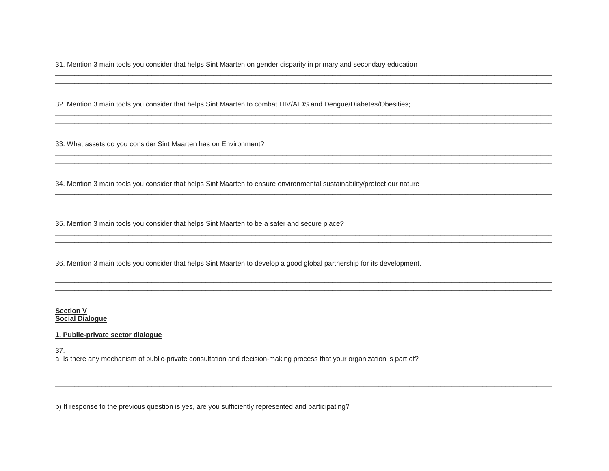31. Mention 3 main tools you consider that helps Sint Maarten on gender disparity in primary and secondary education

32. Mention 3 main tools you consider that helps Sint Maarten to combat HIV/AIDS and Dengue/Diabetes/Obesities;

33. What assets do you consider Sint Maarten has on Environment?

34. Mention 3 main tools you consider that helps Sint Maarten to ensure environmental sustainability/protect our nature

35. Mention 3 main tools you consider that helps Sint Maarten to be a safer and secure place?

36. Mention 3 main tools you consider that helps Sint Maarten to develop a good global partnership for its development.

Section V Social Dialogue

#### 1. Public-private sector dialogue

37.

a. Is there any mechanism of public-private consultation and decision-making process that your organization is part of?

b) If response to the previous question is yes, are you sufficiently represented and participating?